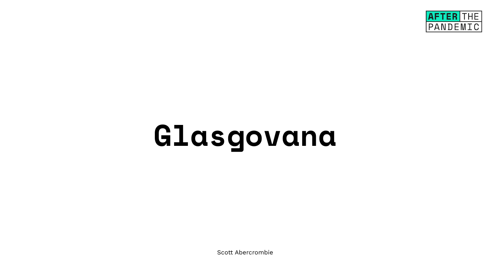## **Glasgovana**

Scott Abercrombie

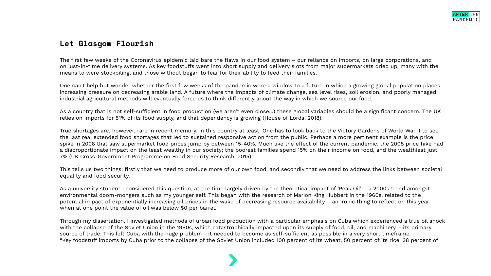## **Let Glasgow Flourish**

The first few weeks of the Coronavirus epidemic laid bare the flaws in our food system – our reliance on imports, on large corporations, and on just-in-time delivery systems. As key foodstuffs went into short supply and delivery slots from major supermarkets dried up, many with the means to were stockpiling, and those without began to fear for their ability to feed their families.

One can't help but wonder whether the first few weeks of the pandemic were a window to a future in which a growing global population places increasing pressure on decreasing arable land. A future where the impacts of climate change, sea level rises, soil erosion, and poorly managed industrial agricultural methods will eventually force us to think differently about the way in which we source our food.

As a country that is not self-sufficient in food production (we aren't even close...) these global variables should be a significant concern. The UK relies on imports for 51% of its food supply, and that dependency is growing (House of Lords, 2018).

True shortages are, however, rare in recent memory, in this country at least. One has to look back to the Victory Gardens of World War II to see the last real extended food shortages that led to sustained responsive action from the public. Perhaps a more pertinent example is the price spike in 2008 that saw supermarket food prices jump by between 15-40%. Much like the effect of the current pandemic, the 2008 price hike had a disproportionate impact on the least wealthy in our society; the poorest families spend 15% on their income on food, and the wealthiest just 7% (UK Cross-Government Programme on Food Security Research, 2015).

This tells us two things: firstly that we need to produce more of our own food, and secondly that we need to address the links between societal equality and food security.

As a university student I considered this question, at the time largely driven by the theoretical impact of 'Peak Oil' – a 2000s trend amongst environmental doom-mongers such as my younger self. This began with the research of Marion King Hubbert in the 1960s, related to the potential impact of exponentially increasing oil prices in the wake of decreasing resource availability – an ironic thing to reflect on this year when at one point the value of oil was below \$0 per barrel.

Through my dissertation, I investigated methods of urban food production with a particular emphasis on Cuba which experienced a true oil shock with the collapse of the Soviet Union in the 1990s, which catastrophically impacted upon its supply of food, oil, and machinery – its primary source of trade. This left Cuba with the huge problem - it needed to become as self-sufficient as possible in a very short timeframe. "Key foodstuff imports by Cuba prior to the collapse of the Soviet Union included 100 percent of its wheat, 50 percent of its rice, 38 percent of



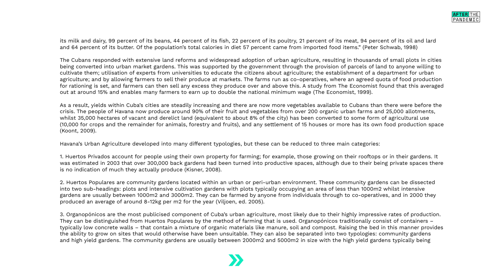The Cubans responded with extensive land reforms and widespread adoption of urban agriculture, resulting in thousands of small plots in cities being converted into urban market gardens. This was supported by the government through the provision of parcels of land to anyone willing to cultivate them; utilisation of experts from universities to educate the citizens about agriculture; the establishment of a department for urban agriculture; and by allowing farmers to sell their produce at markets. The farms run as co-operatives, where an agreed quota of food production for rationing is set, and farmers can then sell any excess they produce over and above this. A study from The Economist found that this averaged out at around 15% and enables many farmers to earn up to double the national minimum wage (The Economist, 1999).

As a result, yields within Cuba's cities are steadily increasing and there are now more vegetables available to Cubans than there were before the crisis. The people of Havana now produce around 90% of their fruit and vegetables from over 200 organic urban farms and 25,000 allotments, whilst 35,000 hectares of vacant and derelict land (equivalent to about 8% of the city) has been converted to some form of agricultural use (10,000 for crops and the remainder for animals, forestry and fruits), and any settlement of 15 houses or more has its own food production space (Koont, 2009).

Havana's Urban Agriculture developed into many different typologies, but these can be reduced to three main categories:

1. Huertos Privados account for people using their own property for farming; for example, those growing on their rooftops or in their gardens. It was estimated in 2003 that over 300,000 back gardens had been turned into productive spaces, although due to their being private spaces there is no indication of much they actually produce (Kisner, 2008).

2. Huertos Populares are community gardens located within an urban or peri-urban environment. These community gardens can be dissected into two sub-headings: plots and intensive cultivation gardens with plots typically occupying an area of less than 1000m2 whilst intensive gardens are usually between 1000m2 and 3000m2. They can be farmed by anyone from individuals through to co-operatives, and in 2000 they produced an average of around 8-12kg per m2 for the year (Viljoen, ed. 2005).

3. Organopónicos are the most publicised component of Cuba's urban agriculture, most likely due to their highly impressive rates of production. They can be distinguished from Huertos Populares by the method of farming that is used. Organopónicos traditionally consist of containers – typically low concrete walls – that contain a mixture of organic materials like manure, soil and compost. Raising the bed in this manner provides the ability to grow on sites that would otherwise have been unsuitable. They can also be separated into two typologies: community gardens and high yield gardens. The community gardens are usually between 2000m2 and 5000m2 in size with the high yield gardens typically being



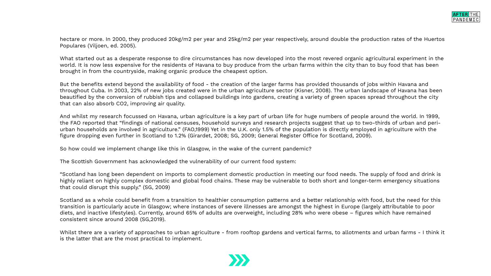hectare or more. In 2000, they produced 20kg/m2 per year and 25kg/m2 per year respectively, around double the production rates of the Huertos Populares (Viljoen, ed. 2005).

What started out as a desperate response to dire circumstances has now developed into the most revered organic agricultural experiment in the world. It is now less expensive for the residents of Havana to buy produce from the urban farms within the city than to buy food that has been brought in from the countryside, making organic produce the cheapest option.

But the benefits extend beyond the availability of food - the creation of the larger farms has provided thousands of jobs within Havana and throughout Cuba. In 2003, 22% of new jobs created were in the urban agriculture sector (Kisner, 2008). The urban landscape of Havana has been beautified by the conversion of rubbish tips and collapsed buildings into gardens, creating a variety of green spaces spread throughout the city that can also absorb CO2, improving air quality.

And whilst my research focussed on Havana, urban agriculture is a key part of urban life for huge numbers of people around the world. In 1999, the FAO reported that "findings of national censuses, household surveys and research projects suggest that up to two-thirds of urban and periurban households are involved in agriculture." (FAO,1999) Yet in the U.K. only 1.5% of the population is directly employed in agriculture with the figure dropping even further in Scotland to 1.2% (Girardet, 2008; SG, 2009; General Register Office for Scotland, 2009).

So how could we implement change like this in Glasgow, in the wake of the current pandemic?

The Scottish Government has acknowledged the vulnerability of our current food system:

"Scotland has long been dependent on imports to complement domestic production in meeting our food needs. The supply of food and drink is highly reliant on highly complex domestic and global food chains. These may be vulnerable to both short and longer-term emergency situations that could disrupt this supply." (SG, 2009)

Scotland as a whole could benefit from a transition to healthier consumption patterns and a better relationship with food, but the need for this transition is particularly acute in Glasgow; where instances of severe illnesses are amongst the highest in Europe (largely attributable to poor diets, and inactive lifestyles). Currently, around 65% of adults are overweight, including 28% who were obese – figures which have remained consistent since around 2008 (SG,2019).

Whilst there are a variety of approaches to urban agriculture - from rooftop gardens and vertical farms, to allotments and urban farms - I think it is the latter that are the most practical to implement.



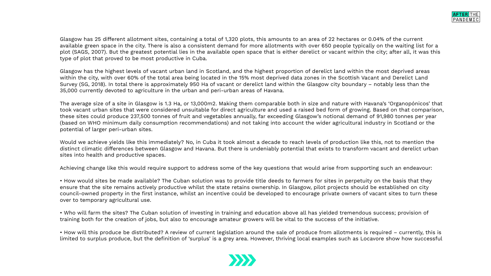Glasgow has 25 different allotment sites, containing a total of 1,320 plots, this amounts to an area of 22 hectares or 0.04% of the current available green space in the city. There is also a consistent demand for more allotments with over 650 people typically on the waiting list for a plot (SAGS, 2007). But the greatest potential lies in the available open space that is either derelict or vacant within the city; after all, it was this type of plot that proved to be most productive in Cuba.

Glasgow has the highest levels of vacant urban land in Scotland, and the highest proportion of derelict land within the most deprived areas within the city, with over 60% of the total area being located in the 15% most deprived data zones in the Scottish Vacant and Derelict Land Survey (SG, 2018). In total there is approximately 950 Ha of vacant or derelict land within the Glasgow city boundary – notably less than the 35,000 currently devoted to agriculture in the urban and peri-urban areas of Havana.

The average size of a site in Glasgow is 1.3 Ha, or 13,000m2. Making them comparable both in size and nature with Havana's 'Organopónicos' that took vacant urban sites that were considered unsuitable for direct agriculture and used a raised bed form of growing. Based on that comparison, these sites could produce 237,500 tonnes of fruit and vegetables annually, far exceeding Glasgow's notional demand of 91,980 tonnes per year (based on WHO minimum daily consumption recommendations) and not taking into account the wider agricultural industry in Scotland or the potential of larger peri-urban sites.

Would we achieve yields like this immediately? No, in Cuba it took almost a decade to reach levels of production like this, not to mention the distinct climatic differences between Glasgow and Havana. But there is undeniably potential that exists to transform vacant and derelict urban sites into health and productive spaces.

Achieving change like this would require support to address some of the key questions that would arise from supporting such an endeavour:

• How would sites be made available? The Cuban solution was to provide title deeds to farmers for sites in perpetuity on the basis that they ensure that the site remains actively productive whilst the state retains ownership. In Glasgow, pilot projects should be established on city council-owned property in the first instance, whilst an incentive could be developed to encourage private owners of vacant sites to turn these over to temporary agricultural use.

• Who will farm the sites? The Cuban solution of investing in training and education above all has yielded tremendous success; provision of training both for the creation of jobs, but also to encourage amateur growers will be vital to the success of the initiative.

• How will this produce be distributed? A review of current legislation around the sale of produce from allotments is required – currently, this is limited to surplus produce, but the definition of 'surplus' is a grey area. However, thriving local examples such as Locavore show how successful



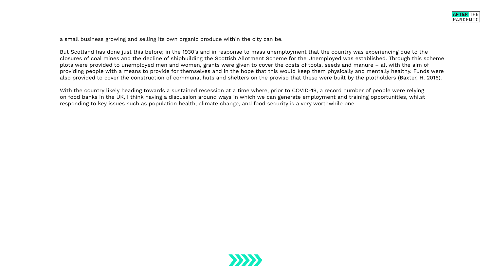a small business growing and selling its own organic produce within the city can be.

But Scotland has done just this before; in the 1930's and in response to mass unemployment that the country was experiencing due to the closures of coal mines and the decline of shipbuilding the Scottish Allotment Scheme for the Unemployed was established. Through this scheme plots were provided to unemployed men and women, grants were given to cover the costs of tools, seeds and manure – all with the aim of providing people with a means to provide for themselves and in the hope that this would keep them physically and mentally healthy. Funds were also provided to cover the construction of communal huts and shelters on the proviso that these were built by the plotholders (Baxter, H. 2016).

With the country likely heading towards a sustained recession at a time where, prior to COVID-19, a record number of people were relying on food banks in the UK, I think having a discussion around ways in which we can generate employment and training opportunities, whilst responding to key issues such as population health, climate change, and food security is a very worthwhile one.